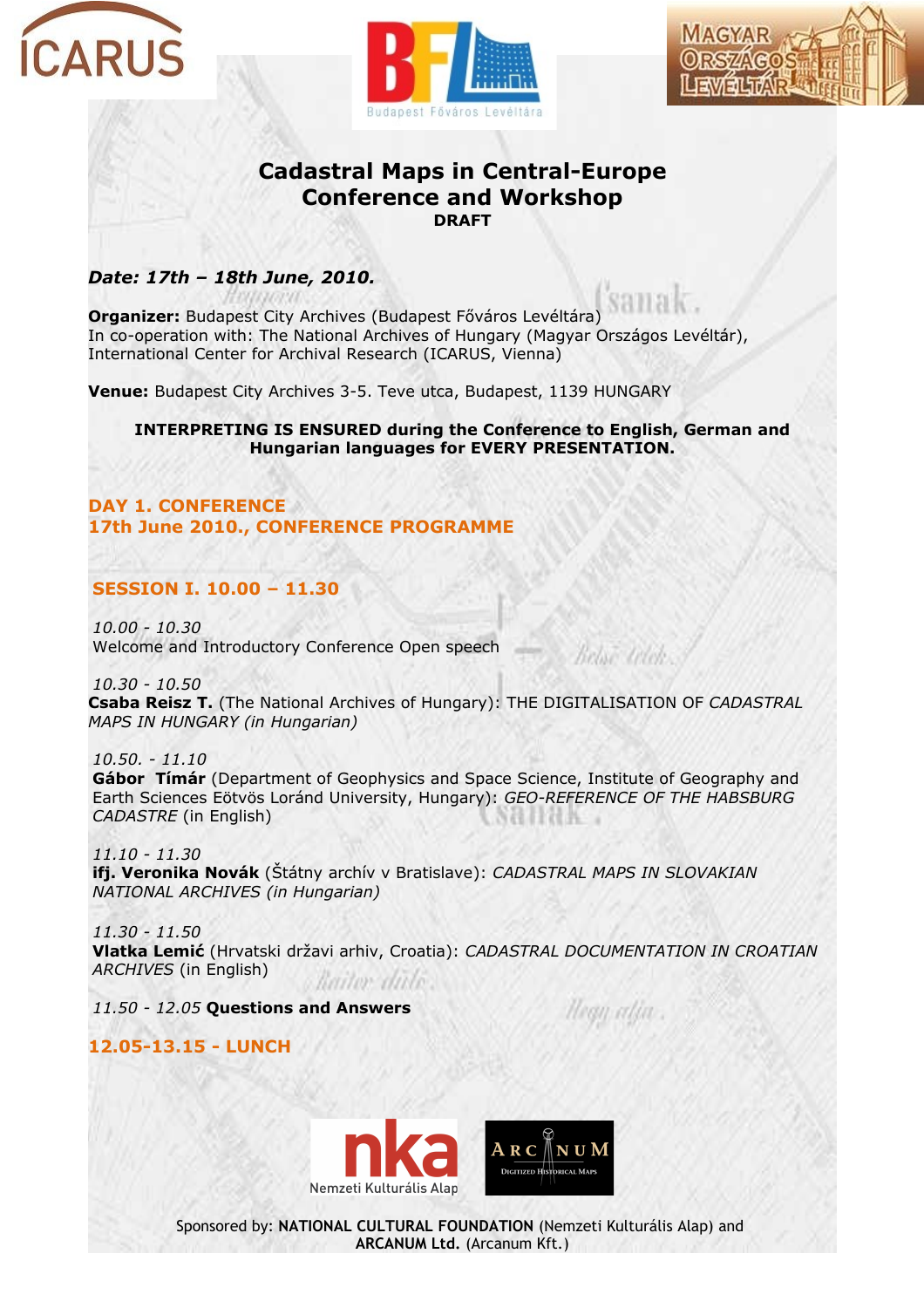





# **Cadastral Maps in Central-Europe Conference and Workshop DRAFT**

## *Date: 17th – 18th June, 2010.*

**Organizer:** Budapest City Archives (Budapest Főváros Levéltára) In co-operation with: The National Archives of Hungary (Magyar Országos Levéltár), International Center for Archival Research (ICARUS, Vienna)

**Venue:** Budapest City Archives 3-5. Teve utca, Budapest, 1139 HUNGARY

**INTERPRETING IS ENSURED during the Conference to English, German and Hungarian languages for EVERY PRESENTATION.**

**DAY 1. CONFERENCE 17th June 2010., CONFERENCE PROGRAMME**

## **SESSION I. 10.00 – 11.30**

*10.00 - 10.30* Welcome and Introductory Conference Open speech

*10.30 - 10.50* **Csaba Reisz T.** (The National Archives of Hungary): THE DIGITALISATION OF *CADASTRAL MAPS IN HUNGARY (in Hungarian)*

*10.50. - 11.10* **Gábor Tímár** (Department of Geophysics and Space Science, Institute of Geography and Earth Sciences Eötvös Loránd University, Hungary): *GEO-REFERENCE OF THE HABSBURG CADASTRE* (in English)

*11.10 - 11.30* **ifj. Veronika Novák** (Štátny archív v Bratislave): *CADASTRAL MAPS IN SLOVAKIAN NATIONAL ARCHIVES (in Hungarian)*

*11.30 - 11.50* **Vlatka Lemić** (Hrvatski državi arhiv, Croatia): *CADASTRAL DOCUMENTATION IN CROATIAN ARCHIVES* (in English) aitor divi

*11.50 - 12.05* **Questions and Answers**

tean atin

Relate Litch

**12.05-13.15 - LUNCH**

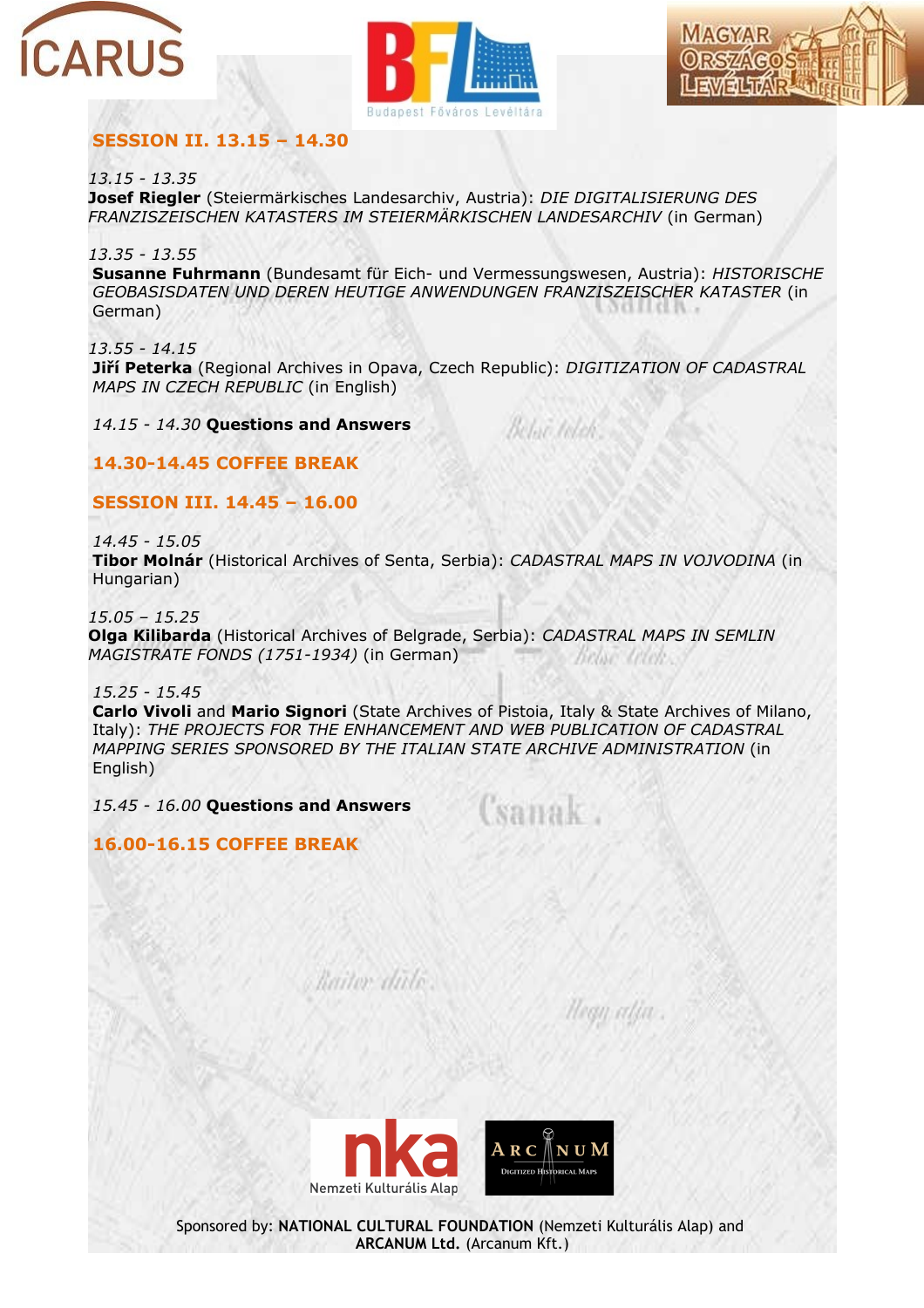





### **SESSION II. 13.15 – 14.30**

*13.15 - 13.35*

**Josef Riegler** (Steiermärkisches Landesarchiv, Austria): *DIE DIGITALISIERUNG DES FRANZISZEISCHEN KATASTERS IM STEIERMÄRKISCHEN LANDESARCHIV* (in German)

*13.35 - 13.55*

**Susanne Fuhrmann** (Bundesamt für Eich- und Vermessungswesen, Austria): *HISTORISCHE GEOBASISDATEN UND DEREN HEUTIGE ANWENDUNGEN FRANZISZEISCHER KATASTER* (in German)

*13.55 - 14.15* **Jiří Peterka** (Regional Archives in Opava, Czech Republic): *DIGITIZATION OF CADASTRAL MAPS IN CZECH REPUBLIC* (in English)

Belovi Inlet

anak

*14.15 - 14.30* **Questions and Answers**

**14.30-14.45 COFFEE BREAK**

**SESSION III. 14.45 – 16.00**

*14.45 - 15.05* **Tibor Molnár** (Historical Archives of Senta, Serbia): *CADASTRAL MAPS IN VOJVODINA* (in Hungarian)

*15.05 – 15.25* **Olga Kilibarda** (Historical Archives of Belgrade, Serbia): *CADASTRAL MAPS IN SEMLIN MAGISTRATE FONDS (1751-1934)* (in German) DRINE CREE

*15.25 - 15.45* **Carlo Vivoli** and **Mario Signori** (State Archives of Pistoia, Italy & State Archives of Milano, Italy): *THE PROJECTS FOR THE ENHANCEMENT AND WEB PUBLICATION OF CADASTRAL MAPPING SERIES SPONSORED BY THE ITALIAN STATE ARCHIVE ADMINISTRATION* (in English)

Railor dido

*15.45 - 16.00* **Questions and Answers**

**16.00-16.15 COFFEE BREAK**

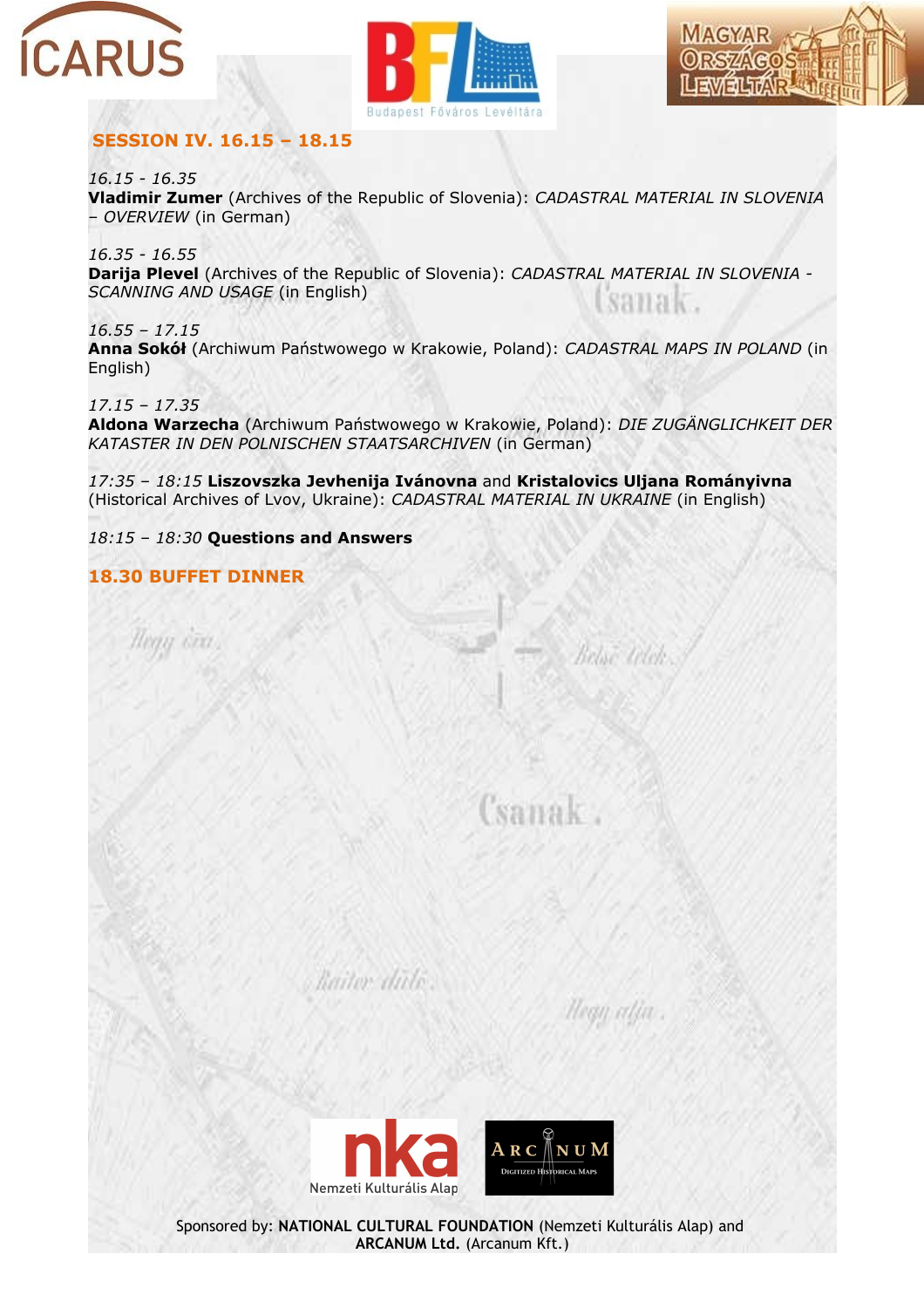





### **SESSION IV. 16.15 – 18.15**

*16.15 - 16.35*  **Vladimir Zumer** (Archives of the Republic of Slovenia): *CADASTRAL MATERIAL IN SLOVENIA – OVERVIEW* (in German)

*16.35 - 16.55* **Darija Plevel** (Archives of the Republic of Slovenia): *CADASTRAL MATERIAL IN SLOVENIA - SCANNING AND USAGE* (in English) SAIRK.

*16.55 – 17.15* **Anna Sokół** (Archiwum Państwowego w Krakowie, Poland): *CADASTRAL MAPS IN POLAND* (in English)

*17.15 – 17.35* **Aldona Warzecha** (Archiwum Państwowego w Krakowie, Poland): *DIE ZUGÄNGLICHKEIT DER KATASTER IN DEN POLNISCHEN STAATSARCHIVEN* (in German)

*17:35 – 18:15* **Liszovszka Jevhenija Ivánovna** and **Kristalovics Uljana Rományivna** (Historical Archives of Lvov, Ukraine): *CADASTRAL MATERIAL IN UKRAINE* (in English)

*18:15 – 18:30* **Questions and Answers**

#### **18.30 BUFFET DINNER**

U STIL

Csanak

Beloë telek.

Hegy alia

 $\texttt{A}\ \texttt{R}\ \texttt{C}\ \overline{\mathbb{A}}$  $N$  U  $M$ DICITIZED HISTORICAL MARS Nemzeti Kulturális Alap

Raitor dide